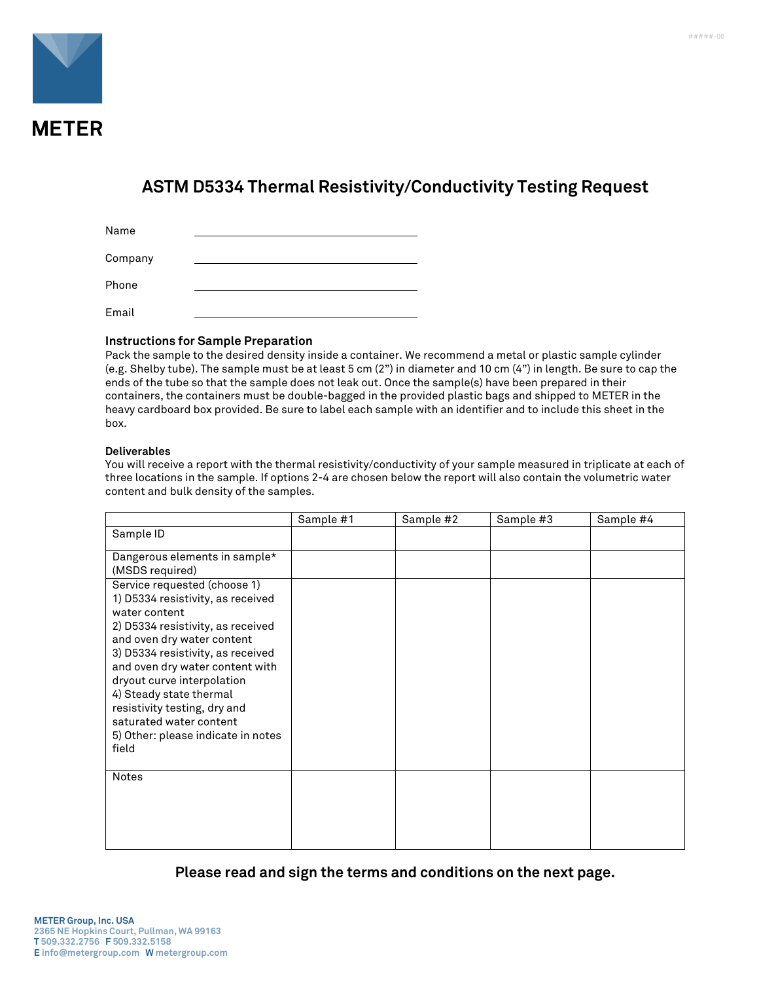

## **ASTM D5334 Thermal Resistivity/Conductivity Testing Request**

| Name    |  |
|---------|--|
| Company |  |
| Phone   |  |
| Email   |  |

## **Instructions for Sample Preparation**

Pack the sample to the desired density inside a container. We recommend a metal or plastic sample cylinder (e.g. Shelby tube). The sample must be at least 5 cm (2") in diameter and 10 cm (4") in length. Be sure to cap the ends of the tube so that the sample does not leak out. Once the sample(s) have been prepared in their containers, the containers must be double-bagged in the provided plastic bags and shipped to METER in the heavy cardboard box provided. Be sure to label each sample with an identifier and to include this sheet in the box.

## **Deliverables**

You will receive a report with the thermal resistivity/conductivity of your sample measured in triplicate at each of three locations in the sample. If options 2-4 are chosen below the report will also contain the volumetric water content and bulk density of the samples.

|                                                                                                                                                                                                                                                                                                                                                                                                  | Sample #1 | Sample #2 | Sample #3 | Sample #4 |
|--------------------------------------------------------------------------------------------------------------------------------------------------------------------------------------------------------------------------------------------------------------------------------------------------------------------------------------------------------------------------------------------------|-----------|-----------|-----------|-----------|
| Sample ID                                                                                                                                                                                                                                                                                                                                                                                        |           |           |           |           |
| Dangerous elements in sample*<br>(MSDS required)                                                                                                                                                                                                                                                                                                                                                 |           |           |           |           |
| Service requested (choose 1)<br>1) D5334 resistivity, as received<br>water content<br>2) D5334 resistivity, as received<br>and oven dry water content<br>3) D5334 resistivity, as received<br>and oven dry water content with<br>dryout curve interpolation<br>4) Steady state thermal<br>resistivity testing, dry and<br>saturated water content<br>5) Other: please indicate in notes<br>field |           |           |           |           |
| <b>Notes</b>                                                                                                                                                                                                                                                                                                                                                                                     |           |           |           |           |

**Please read and sign the terms and conditions on the next page.**

#####-00